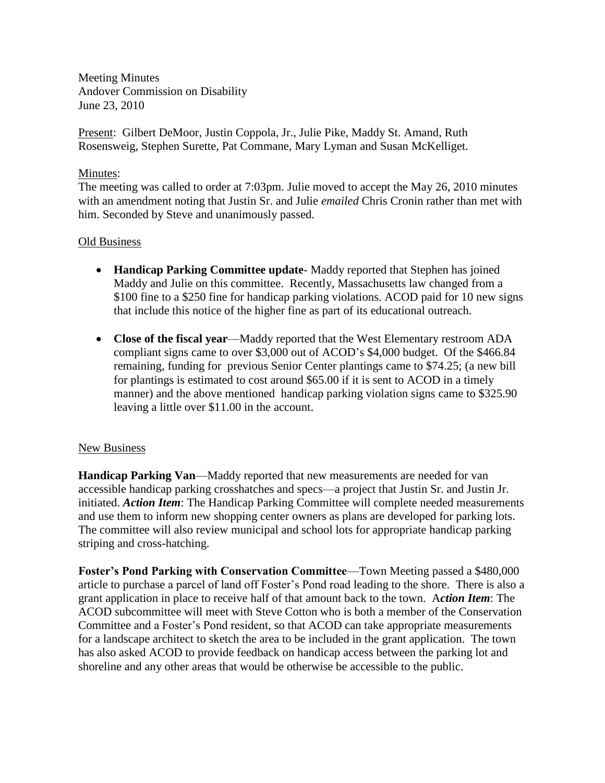Meeting Minutes Andover Commission on Disability June 23, 2010

Present: Gilbert DeMoor, Justin Coppola, Jr., Julie Pike, Maddy St. Amand, Ruth Rosensweig, Stephen Surette, Pat Commane, Mary Lyman and Susan McKelliget.

## Minutes:

The meeting was called to order at 7:03pm. Julie moved to accept the May 26, 2010 minutes with an amendment noting that Justin Sr. and Julie *emailed* Chris Cronin rather than met with him. Seconded by Steve and unanimously passed.

## Old Business

- **Handicap Parking Committee update** Maddy reported that Stephen has joined Maddy and Julie on this committee. Recently, Massachusetts law changed from a \$100 fine to a \$250 fine for handicap parking violations. ACOD paid for 10 new signs that include this notice of the higher fine as part of its educational outreach.
- **Close of the fiscal year**—Maddy reported that the West Elementary restroom ADA compliant signs came to over \$3,000 out of ACOD's \$4,000 budget. Of the \$466.84 remaining, funding for previous Senior Center plantings came to \$74.25; (a new bill for plantings is estimated to cost around \$65.00 if it is sent to ACOD in a timely manner) and the above mentioned handicap parking violation signs came to \$325.90 leaving a little over \$11.00 in the account.

## New Business

**Handicap Parking Van**—Maddy reported that new measurements are needed for van accessible handicap parking crosshatches and specs—a project that Justin Sr. and Justin Jr. initiated. *Action Item*: The Handicap Parking Committee will complete needed measurements and use them to inform new shopping center owners as plans are developed for parking lots. The committee will also review municipal and school lots for appropriate handicap parking striping and cross-hatching.

**Foster's Pond Parking with Conservation Committee**—Town Meeting passed a \$480,000 article to purchase a parcel of land off Foster's Pond road leading to the shore. There is also a grant application in place to receive half of that amount back to the town. A*ction Item*: The ACOD subcommittee will meet with Steve Cotton who is both a member of the Conservation Committee and a Foster's Pond resident, so that ACOD can take appropriate measurements for a landscape architect to sketch the area to be included in the grant application. The town has also asked ACOD to provide feedback on handicap access between the parking lot and shoreline and any other areas that would be otherwise be accessible to the public.